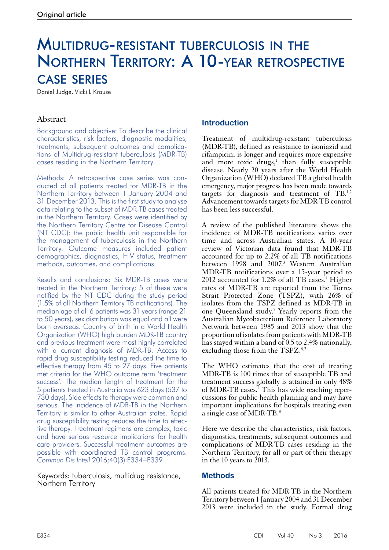# Multidrug-resistant tuberculosis in the Northern Territory: A 10-year retrospective case series

Daniel Judge, Vicki L Krause

## Abstract

Background and objective: To describe the clinical characteristics, risk factors, diagnostic modalities, treatments, subsequent outcomes and complications of Multidrug-resistant tuberculosis (MDR-TB) cases residing in the Northern Territory.

Methods: A retrospective case series was conducted of all patients treated for MDR-TB in the Northern Territory between 1 January 2004 and 31 December 2013. This is the first study to analyse data relating to the subset of MDR-TB cases treated in the Northern Territory. Cases were identified by the Northern Territory Centre for Disease Control (NT CDC): the public health unit responsible for the management of tuberculosis in the Northern Territory. Outcome measures included patient demographics, diagnostics, HIV status, treatment methods, outcomes, and complications.

Results and conclusions: Six MDR-TB cases were treated in the Northern Territory; 5 of these were notified by the NT CDC during the study period (1.5% of all Northern Territory TB notifications). The median age of all 6 patients was 31 years (range 21 to 50 years), sex distribution was equal and all were born overseas. Country of birth in a World Health Organization (WHO) high burden MDR-TB country and previous treatment were most highly correlated with a current diagnosis of MDR-TB. Access to rapid drug susceptibility testing reduced the time to effective therapy from 45 to 27 days. Five patients met criteria for the WHO outcome term 'treatment success'. The median length of treatment for the 5 patients treated in Australia was 623 days (537 to 730 days). Side effects to therapy were common and serious. The incidence of MDR-TB in the Northern Territory is similar to other Australian states. Rapid drug susceptibility testing reduces the time to effective therapy. Treatment regimens are complex, toxic and have serious resource implications for health care providers. Successful treatment outcomes are possible with coordinated TB control programs. *Commun Dis Intell* 2016;40(3):E334–E339.

#### Keywords: tuberculosis, multidrug resistance, Northern Territory

## **Introduction**

Treatment of multidrug-resistant tuberculosis (MDR-TB), defined as resistance to isoniazid and rifampicin, is longer and requires more expensive and more toxic drugs, $<sup>1</sup>$  than fully susceptible</sup> disease. Nearly 20 years after the World Health Organization (WHO) declared TB a global health emergency, major progress has been made towards targets for diagnosis and treatment of TB.1,2 Advancement towards targets for MDR-TB control has been less successful.<sup>1</sup>

A review of the published literature shows the incidence of MDR-TB notifications varies over time and across Australian states. A 10-year review of Victorian data found that MDR-TB accounted for up to 2.2% of all TB notifications between 1998 and 2007.<sup>3</sup> Western Australian MDR-TB notifications over a 15-year period to 2012 accounted for 1.2% of all TB cases.<sup>4</sup> Higher rates of MDR-TB are reported from the Torres Strait Protected Zone (TSPZ), with 26% of isolates from the TSPZ defined as MDR-TB in one Queensland study.<sup>5</sup> Yearly reports from the Australian Mycobacterium Reference Laboratory Network between 1985 and 2013 show that the proportion of isolates from patients with MDR-TB has stayed within a band of 0.5 to 2.4% nationally, excluding those from the TSPZ.<sup>6,7</sup>

The WHO estimates that the cost of treating MDR-TB is 100 times that of susceptible TB and treatment success globally is attained in only 48% of MDR-TB cases.<sup>2</sup> This has wide reaching repercussions for public health planning and may have important implications for hospitals treating even a single case of MDR-TB.<sup>8</sup>

Here we describe the characteristics, risk factors, diagnostics, treatments, subsequent outcomes and complications of MDR-TB cases residing in the Northern Territory, for all or part of their therapy in the 10 years to  $2013$ .

### **Methods**

All patients treated for MDR-TB in the Northern Territory between 1 January 2004 and 31 December 2013 were included in the study. Formal drug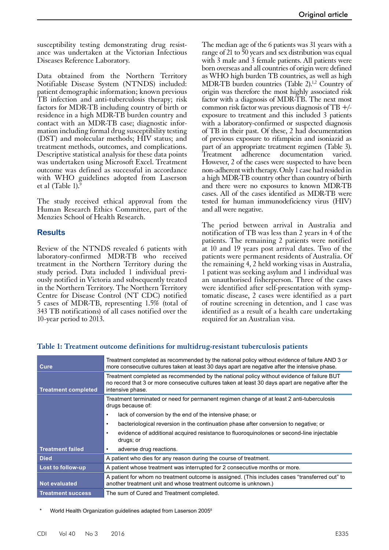susceptibility testing demonstrating drug resistance was undertaken at the Victorian Infectious Diseases Reference Laboratory.

Data obtained from the Northern Territory Notifiable Disease System (NTNDS) included: patient demographic information; known previous TB infection and anti-tuberculosis therapy; risk factors for MDR-TB including country of birth or residence in a high MDR-TB burden country and contact with an MDR-TB case; diagnostic information including formal drug susceptibility testing (DST) and molecular methods; HIV status; and treatment methods, outcomes, and complications. Descriptive statistical analysis for these data points was undertaken using Microsoft Excel. Treatment outcome was defined as successful in accordance with WHO guidelines adopted from Laserson et al (Table 1). $\frac{5}{5}$ 

The study received ethical approval from the Human Research Ethics Committee, part of the Menzies School of Health Research.

### **Results**

Review of the NTNDS revealed 6 patients with laboratory-confirmed MDR-TB who received treatment in the Northern Territory during the study period. Data included 1 individual previously notified in Victoria and subsequently treated in the Northern Territory. The Northern Territory Centre for Disease Control (NT CDC) notified 5 cases of MDR-TB, representing 1.5% (total of 343 TB notifications) of all cases notified over the 10-year period to 2013.

The median age of the 6 patients was 31 years with a range of 21 to 50 years and sex distribution was equal with 3 male and 3 female patients. All patients were born overseas and all countries of origin were defined as WHO high burden TB countries, as well as high MDR-TB burden countries (Table 2).<sup>1,2</sup> Country of origin was therefore the most highly associated risk factor with a diagnosis of MDR-TB. The next most common risk factor was previous diagnosis of  $TB +/$ exposure to treatment and this included 3 patients with a laboratory-confirmed or suspected diagnosis of TB in their past. Of these, 2 had documentation of previous exposure to rifampicin and isoniazid as part of an appropriate treatment regimen (Table 3). Treatment adherence documentation varied. However, 2 of the cases were suspected to have been non-adherent with therapy. Only 1 case had resided in a high MDR-TB country other than country of birth and there were no exposures to known MDR-TB cases. All of the cases identified as MDR-TB were tested for human immunodeficiency virus (HIV) and all were negative.

The period between arrival in Australia and notification of TB was less than 2 years in 4 of the patients. The remaining 2 patients were notified at 10 and 19 years post arrival dates. Two of the patients were permanent residents of Australia. Of the remaining 4, 2 held working visas in Australia, 1 patient was seeking asylum and 1 individual was an unauthorised fisherperson. Three of the cases were identified after self-presentation with symptomatic disease, 2 cases were identified as a part of routine screening in detention, and 1 case was identified as a result of a health care undertaking required for an Australian visa.

| Cure                       | Treatment completed as recommended by the national policy without evidence of failure AND 3 or<br>more consecutive cultures taken at least 30 days apart are negative after the intensive phase.                   |
|----------------------------|--------------------------------------------------------------------------------------------------------------------------------------------------------------------------------------------------------------------|
| <b>Treatment completed</b> | Treatment completed as recommended by the national policy without evidence of failure BUT<br>no record that 3 or more consecutive cultures taken at least 30 days apart are negative after the<br>intensive phase. |
|                            | Treatment terminated or need for permanent regimen change of at least 2 anti-tuberculosis<br>drugs because of:                                                                                                     |
|                            | lack of conversion by the end of the intensive phase, or                                                                                                                                                           |
|                            | bacteriological reversion in the continuation phase after conversion to negative; or<br>٠                                                                                                                          |
|                            | evidence of additional acquired resistance to fluoroguinolones or second-line injectable<br>drugs; or                                                                                                              |
| <b>Treatment failed</b>    | adverse drug reactions.                                                                                                                                                                                            |
| <b>Died</b>                | A patient who dies for any reason during the course of treatment.                                                                                                                                                  |
| Lost to follow-up          | A patient whose treatment was interrupted for 2 consecutive months or more.                                                                                                                                        |
| <b>Not evaluated</b>       | A patient for whom no treatment outcome is assigned. (This includes cases "transferred out" to<br>another treatment unit and whose treatment outcome is unknown.)                                                  |
| <b>Treatment success</b>   | The sum of Cured and Treatment completed.                                                                                                                                                                          |

### **Table 1: Treatment outcome definitions for multidrug-resistant tuberculosis patients**

World Health Organization guidelines adapted from Laserson 2005<sup>8</sup>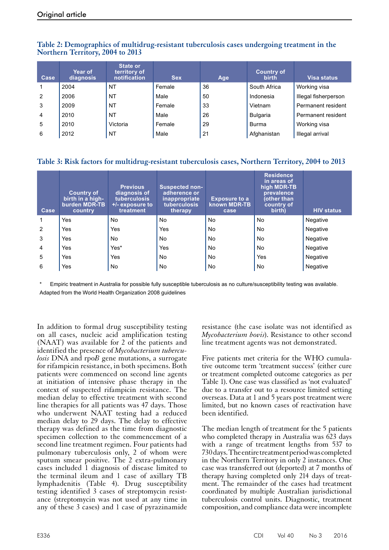| Case           | <b>Year of</b><br>diagnosis | <b>State or</b><br>territory of<br>notification | <b>Sex</b> | Age | <b>Country of</b><br><b>birth</b> | Visa status          |
|----------------|-----------------------------|-------------------------------------------------|------------|-----|-----------------------------------|----------------------|
|                | 2004                        | <b>NT</b>                                       | Female     | 36  | South Africa                      | Working visa         |
| $\overline{2}$ | 2006                        | <b>NT</b>                                       | Male       | 50  | Indonesia                         | Illegal fisherperson |
| 3              | 2009                        | <b>NT</b>                                       | Female     | 33  | Vietnam                           | Permanent resident   |
| $\overline{4}$ | 2010                        | NT                                              | Male       | 26  | <b>Bulgaria</b>                   | Permanent resident   |
| 5              | 2010                        | Victoria                                        | Female     | 29  | <b>Burma</b>                      | Working visa         |
| 6              | 2012                        | <b>NT</b>                                       | Male       | 21  | Afghanistan                       | Illegal arrival      |

## **Table 2: Demographics of multidrug-resistant tuberculosis cases undergoing treatment in the Northern Territory, 2004 to 2013**

## **Table 3: Risk factors for multidrug-resistant tuberculosis cases, Northern Territory, 2004 to 2013**

| Case | <b>Country of</b><br>birth in a high-<br>burden MDR-TB<br>country | <b>Previous</b><br>diagnosis of<br><b>tuberculosis</b><br>+/- exposure to<br>treatment | <b>Suspected non-</b><br>adherence or<br>inappropriate<br>tuberculosis<br>therapy | <b>Exposure to a</b><br>known MDR-TB<br>case | <b>Residence</b><br>in areas of<br>high MDR-TB<br>prevalence<br>(other than<br>country of<br>birth) | <b>HIV status</b> |
|------|-------------------------------------------------------------------|----------------------------------------------------------------------------------------|-----------------------------------------------------------------------------------|----------------------------------------------|-----------------------------------------------------------------------------------------------------|-------------------|
|      | Yes                                                               | No                                                                                     | <b>No</b>                                                                         | No                                           | <b>No</b>                                                                                           | Negative          |
| 2    | Yes                                                               | Yes                                                                                    | Yes                                                                               | No.                                          | <b>No</b>                                                                                           | Negative          |
| 3    | Yes                                                               | No                                                                                     | No                                                                                | No                                           | No                                                                                                  | Negative          |
| 4    | Yes                                                               | Yes*                                                                                   | Yes                                                                               | No.                                          | <b>No</b>                                                                                           | Negative          |
| 5    | Yes                                                               | Yes                                                                                    | No.                                                                               | No                                           | Yes                                                                                                 | Negative          |
| 6    | Yes                                                               | No                                                                                     | No                                                                                | No                                           | <b>No</b>                                                                                           | Negative          |

\* Empiric treatment in Australia for possible fully susceptible tuberculosis as no culture/susceptibility testing was available. Adapted from the World Health Organization 2008 guidelines

In addition to formal drug susceptibility testing on all cases, nucleic acid amplification testing (NAAT) was available for 2 of the patients and identified the presence of *Mycobacterium tubercu- losis* DNA and rpo*B* gene mutations, a surrogate for rifampicin resistance, in both specimens. Both patients were commenced on second line agents at initiation of intensive phase therapy in the context of suspected rifampicin resistance. The median delay to effective treatment with second line therapies for all patients was 47 days. Those who underwent NAAT testing had a reduced median delay to 29 days. The delay to effective therapy was defined as the time from diagnostic specimen collection to the commencement of a second line treatment regimen. Four patients had pulmonary tuberculosis only, 2 of whom were sputum smear positive. The 2 extra-pulmonary cases included 1 diagnosis of disease limited to the terminal ileum and 1 case of axillary TB lymphadenitis (Table 4). Drug susceptibility testing identified 3 cases of streptomycin resistance (streptomycin was not used at any time in any of these 3 cases) and 1 case of pyrazinamide

resistance (the case isolate was not identified as *Mycobacterium bovis*). Resistance to other second line treatment agents was not demonstrated.

Five patients met criteria for the WHO cumula-<br>tive outcome term 'treatment success' (either cure or treatment completed outcome categories as per Table 1). One case was classified as 'not evaluated' due to a transfer out to a resource limited setting overseas. Data at 1 and 5 years post treatment were limited, but no known cases of reactivation have been identified.

The median length of treatment for the 5 patients who completed therapy in Australia was  $\overline{623}$  days with a range of treatment lengths from 537 to 730days. The entire treatment period was completed in the Northern Territory in only 2 instances. One case was transferred out (deported) at 7 months of therapy having completed only 214 days of treatment. The remainder of the cases had treatment coordinated by multiple Australian jurisdictional tuberculosis control units. Diagnostic, treatment composition, and compliance data were incomplete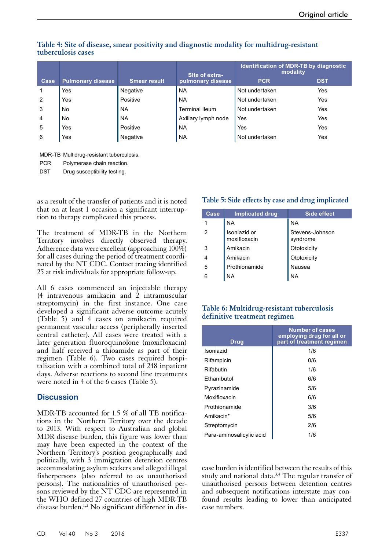|                |                   |                     |                       | <b>Identification of MDR-TB by diagnostic</b><br>modality<br>Site of extra- |            |  |
|----------------|-------------------|---------------------|-----------------------|-----------------------------------------------------------------------------|------------|--|
| Case           | Pulmonary disease | <b>Smear result</b> | pulmonary disease     | <b>PCR</b>                                                                  | <b>DST</b> |  |
|                | Yes               | Negative            | <b>NA</b>             | Not undertaken                                                              | Yes        |  |
| $\overline{2}$ | Yes               | Positive            | <b>NA</b>             | Not undertaken                                                              | Yes        |  |
| 3              | No                | NA                  | <b>Terminal lleum</b> | Not undertaken                                                              | Yes        |  |
| $\overline{4}$ | No                | <b>NA</b>           | Axillary lymph node   | Yes                                                                         | Yes        |  |
| 5              | Yes               | Positive            | <b>NA</b>             | Yes                                                                         | Yes        |  |
| 6              | Yes               | Negative            | <b>NA</b>             | Not undertaken                                                              | Yes        |  |

### **Table 4: Site of disease, smear positivity and diagnostic modality for multidrug-resistant tuberculosis cases**

MDR-TB Multidrug-resistant tuberculosis.

| <b>PCR</b> | Polymerase chain reaction. |  |
|------------|----------------------------|--|
|            |                            |  |

DST Drug susceptibility testing.

as a result of the transfer of patients and it is noted that on at least 1 occasion a significant interruption to therapy complicated this process.

The treatment of MDR-TB in the Northern Territory involves directly observed therapy. Adherence data were excellent (approaching 100%) for all cases during the period of treatment coordinated by the NT CDC. Contact tracing identified 25 at risk individuals for appropriate follow-up.

All 6 cases commenced an injectable therapy (4 intravenous amikacin and 2 intramuscular streptomycin) in the first instance. One case developed a significant adverse outcome acutely (Table 5) and 4 cases on amikacin required permanent vascular access (peripherally inserted central catheter). All cases were treated with a later generation fluoroquinolone (moxifloxacin) and half received a thioamide as part of their regimen (Table 6). Two cases required hospi- talisation with a combined total of 248 inpatient days. Adverse reactions to second line treatments were noted in 4 of the 6 cases (Table 5).

## **Discussion**

MDR-TB accounted for 1.5 % of all TB notifications in the Northern Territory over the decade to 2013. With respect to Australian and global MDR disease burden, this figure was lower than may have been expected in the context of the Northern Territory's position geographically and politically, with 3 immigration detention centres accommodating asylum seekers and alleged illegal fisherpersons (also referred to as unauthorised persons). The nationalities of unauthorised persons reviewed by the NT CDC are represented in the WHO defined 27 countries of high MDR-TB disease burden.1,2 No significant difference in dis-

# **Table 5: Side effects by case and drug implicated**

| Case | <b>Implicated drug</b>       | Side effect                 |
|------|------------------------------|-----------------------------|
| 1    | <b>NA</b>                    | NA.                         |
| 2    | Isoniazid or<br>moxifloxacin | Stevens-Johnson<br>syndrome |
| 3    | Amikacin                     | Ototoxicity                 |
| 4    | Amikacin                     | Ototoxicity                 |
| 5    | Prothionamide                | Nausea                      |
| 6    | <b>NA</b>                    | NA                          |

## **Table 6: Multidrug-resistant tuberculosis definitive treatment regimen**

| <b>Drug</b>              | <b>Number of cases</b><br>employing drug for all or<br>part of treatment regimen |
|--------------------------|----------------------------------------------------------------------------------|
| Isoniazid                | 1/6                                                                              |
| Rifampicin               | 0/6                                                                              |
| Rifabutin                | 1/6                                                                              |
| Ethambutol               | 6/6                                                                              |
| Pyrazinamide             | 5/6                                                                              |
| Moxifloxacin             | 6/6                                                                              |
| Prothionamide            | 3/6                                                                              |
| Amikacin*                | 5/6                                                                              |
| Streptomycin             | 2/6                                                                              |
| Para-aminosalicylic acid | 1/6                                                                              |

ease burden is identified between the results of this study and national data.<sup>3,4</sup> The regular transfer of unauthorised persons between detention centres and subsequent notifications interstate may confound results leading to lower than anticipated case numbers.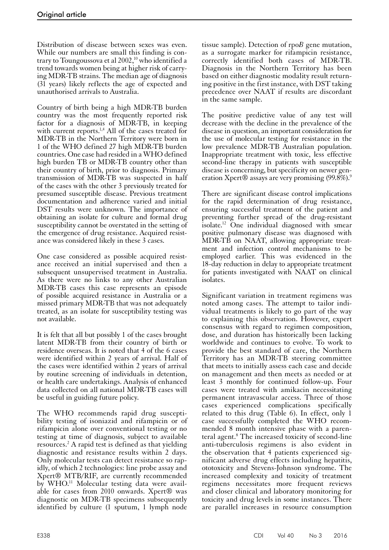Distribution of disease between sexes was even. While our numbers are small this finding is contrary to Toungoussova et al 2002,<sup>10</sup> who identified a trend towards women being at higher risk of carrying MDR-TB strains. The median age of diagnosis (31 years) likely reflects the age of expected and unauthorised arrivals to Australia.

Country of birth being a high MDR-TB burden country was the most frequently reported risk factor for a diagnosis of MDR-TB, in keeping with current reports.<sup>1,4</sup> All of the cases treated for MDR-TB in the Northern Territory were born in 1 of the WHO defined 27 high MDR-TB burden countries. One case had resided in a WHO defined high burden TB or MDR-TB country other than their country of birth, prior to diagnosis. Primary transmission of MDR-TB was suspected in half of the cases with the other 3 previously treated for presumed susceptible disease. Previous treatment documentation and adherence varied and initial DST results were unknown. The importance of obtaining an isolate for culture and formal drug susceptibility cannot be overstated in the setting of the emergence of drug resistance. Acquired resistance was considered likely in these 3 cases.

One case considered as possible acquired resistance received an initial supervised and then a subsequent unsupervised treatment in Australia. As there were no links to any other Australian MDR-TB cases this case represents an episode of possible acquired resistance in Australia or a missed primary MDR-TB that was not adequately treated, as an isolate for susceptibility testing was not available.

It is felt that all but possibly 1 of the cases brought latent MDR-TB from their country of birth or residence overseas. It is noted that 4 of the 6 cases were identified within 2 years of arrival. Half of the cases were identified within 2 years of arrival by routine screening of individuals in detention, or health care undertakings. Analysis of enhanced data collected on all national MDR-TB cases will be useful in guiding future policy.

The WHO recommends rapid drug susceptibility testing of isoniazid and rifampicin or of rifampicin alone over conventional testing or no testing at time of diagnosis, subject to available resources.2 A rapid test is defined as that yielding diagnostic and resistance results within 2 days. Only molecular tests can detect resistance so rap- idly, of which 2 technologies: line probe assay and Xpert® MTB/RIF, are currently recommended by WHO.<sup>11</sup> Molecular testing data were available for cases from 2010 onwards. Xpert® was diagnostic on MDR-TB specimens subsequently identified by culture (1 sputum, 1 lymph node

tissue sample). Detection of rpo*B* gene mutation, as a surrogate marker for rifampicin resistance, correctly identified both cases of MDR-TB. Diagnosis in the Northern Territory has been based on either diagnostic modality result returning positive in the first instance, with DST taking precedence over NAAT if results are discordant in the same sample.

The positive predictive value of any test will decrease with the decline in the prevalence of the disease in question, an important consideration for the use of molecular testing for resistance in the low prevalence MDR-TB Australian population. Inappropriate treatment with toxic, less effective second-line therapy in patients with susceptible disease is concerning, but specificity on newer generation Xpert® assays are very promising (99.8%).<sup>9</sup>

There are significant disease control implications for the rapid determination of drug resistance, ensuring successful treatment of the patient and preventing further spread of the drug-resistant isolate.12 One individual diagnosed with smear positive pulmonary disease was diagnosed with MDR-TB on NAAT, allowing appropriate treatment and infection control mechanisms to be employed earlier. This was evidenced in the 18-day reduction in delay to appropriate treatment for patients investigated with NAAT on clinical isolates.

Significant variation in treatment regimens was noted among cases. The attempt to tailor indi- vidual treatments is likely to go part of the way to explaining this observation. However, expert consensus with regard to regimen composition, dose, and duration has historically been lacking worldwide and continues to evolve. To work to provide the best standard of care, the Northern Territory has an MDR-TB steering committee that meets to initially assess each case and decide on management and then meets as needed or at least 3 monthly for continued follow-up. Four cases were treated with amikacin necessitating permanent intravascular access. Three of those cases experienced complications specifically related to this drug (Table 6). In effect, only 1 case successfully completed the WHO recommended 8 month intensive phase with a parenteral agent.<sup>8</sup> The increased toxicity of second-line anti-tuberculosis regimens is also evident in the observation that 4 patients experienced sig- nificant adverse drug effects including hepatitis, ototoxicity and Stevens-Johnson syndrome. The increased complexity and toxicity of treatment regimens necessitates more frequent reviews and closer clinical and laboratory monitoring for toxicity and drug levels in some instances. There are parallel increases in resource consumption